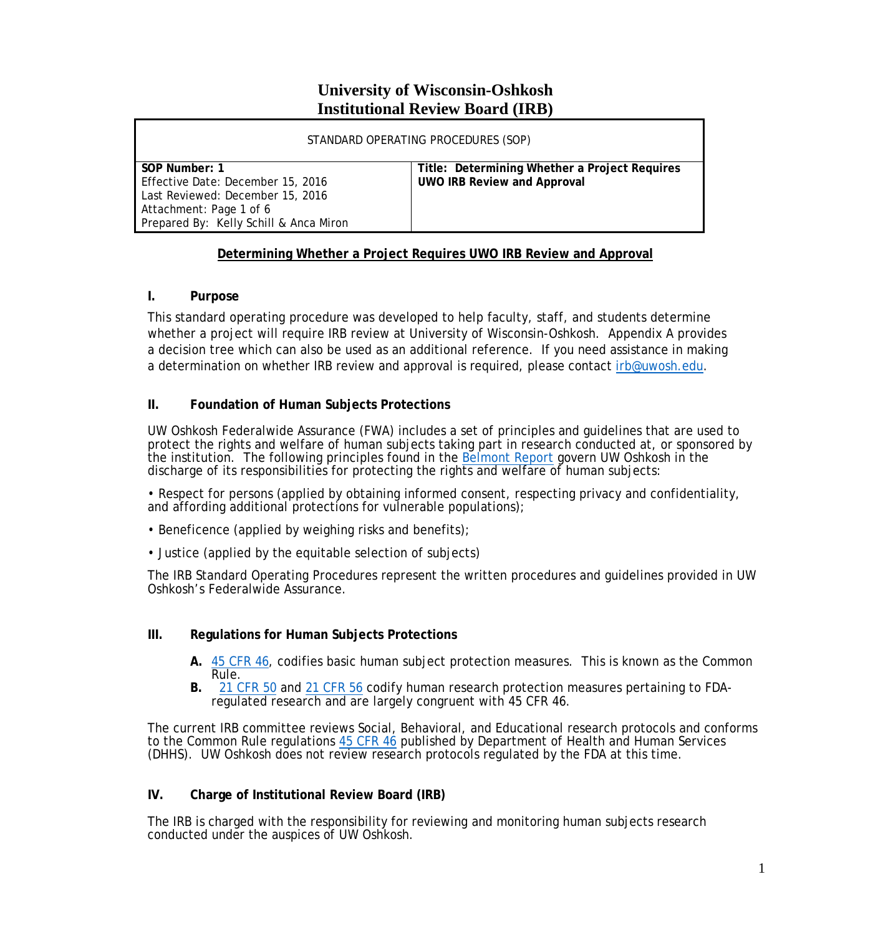## **University of Wisconsin-Oshkosh Institutional Review Board (IRB)**

| STANDARD OPERATING PROCEDURES (SOP)                                                                                                                         |                                                                                     |
|-------------------------------------------------------------------------------------------------------------------------------------------------------------|-------------------------------------------------------------------------------------|
| SOP Number: 1<br>Effective Date: December 15, 2016<br>Last Reviewed: December 15, 2016<br>Attachment: Page 1 of 6<br>Prepared By: Kelly Schill & Anca Miron | Title: Determining Whether a Project Requires<br><b>UWO IRB Review and Approval</b> |

#### **Determining Whether a Project Requires UWO IRB Review and Approval**

## **I. Purpose**

This standard operating procedure was developed to help faculty, staff, and students determine whether a project will require IRB review at University of Wisconsin-Oshkosh. Appendix A provides a decision tree which can also be used as an additional reference. If you need assistance in making a determination on whether IRB review and approval is required, please contact irb@uwosh.edu.

## **II. Foundation of Human Subjects Protections**

UW Oshkosh Federalwide Assurance (FWA) includes a set of principles and guidelines that are used to protect the rights and welfare of human subjects taking part in research conducted at, or sponsored by the institution. The following principles found in the [Belmont Report](http://www.hhs.gov/ohrp/regulations-and-policy/belmont-report/) govern UW Oshkosh in the discharge of its responsibilities for protecting the rights and welfare of human subjects:

• Respect for persons (applied by obtaining informed consent, respecting privacy and confidentiality, and affording additional protections for vulnerable populations);

- Beneficence (applied by weighing risks and benefits);
- Justice (applied by the equitable selection of subjects)

The IRB Standard Operating Procedures represent the written procedures and guidelines provided in UW Oshkosh's Federalwide Assurance.

#### **III. Regulations for Human Subjects Protections**

- **A.** [45 CFR 46,](http://www.hhs.gov/ohrp/regulations-and-policy/regulations/45-cfr-46/) codifies basic human subject protection measures. This is known as the Common Rule.
- **B.** [21 CFR 50](https://www.accessdata.fda.gov/scripts/cdrh/cfdocs/cfcfr/CFRSearch.cfm?CFRPart=50) and [21 CFR 56](https://www.accessdata.fda.gov/scripts/cdrh/cfdocs/cfcfr/CFRSearch.cfm?CFRPart=56) codify human research protection measures pertaining to FDAregulated research and are largely congruent with 45 CFR 46.

The current IRB committee reviews Social, Behavioral, and Educational research protocols and conforms to the Common Rule regulations [45 CFR 46](http://www.hhs.gov/ohrp/regulations-and-policy/regulations/45-cfr-46/) published by Department of Health and Human Services (DHHS). UW Oshkosh does not review research protocols regulated by the FDA at this time.

## **IV. Charge of Institutional Review Board (IRB)**

The IRB is charged with the responsibility for reviewing and monitoring human subjects research conducted under the auspices of UW Oshkosh.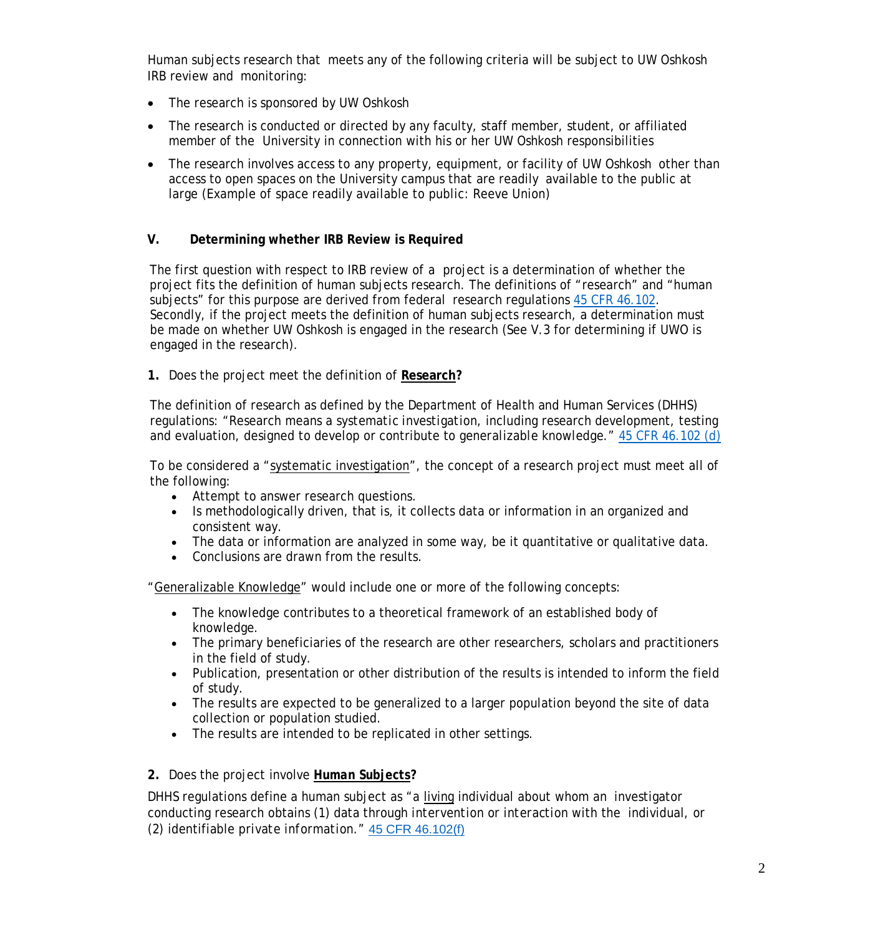Human subjects research that meets any of the following criteria will be subject to UW Oshkosh IRB review and monitoring:

- The research is sponsored by UW Oshkosh
- The research is conducted or directed by any faculty, staff member, student, or affiliated member of the University in connection with his or her UW Oshkosh responsibilities
- The research involves access to any property, equipment, or facility of UW Oshkosh other than access to open spaces on the University campus that are readily available to the public at large (Example of space readily available to public: Reeve Union)

#### **V. Determining whether IRB Review is Required**

The first question with respect to IRB review of a project is a determination of whether the project fits the definition of human subjects research. The definitions of "research" and "human subjects" for this purpose are derived from federal research regulations [45 CFR 46.102.](http://www.hhs.gov/ohrp/regulations-and-policy/regulations/45-cfr-46/%2346.102) Secondly, if the project meets the definition of human subjects research, a determination must be made on whether UW Oshkosh is engaged in the research (See V.3 for determining if UWO is engaged in the research).

#### **1.** Does the project meet the definition of **Research?**

The definition of research as defined by the Department of Health and Human Services (DHHS) regulations: "Research means a *systematic investigation*, including research development, testing and evaluation, designed to develop or contribute to *generalizable knowledge*." [45 CFR 46.102 \(d\)](http://www.hhs.gov/ohrp/regulations-and-policy/regulations/45-cfr-46/index.html%2346.102)

To be considered a "systematic investigation", the concept of a research project must meet all of the following:

- Attempt to answer research questions.
- Is methodologically driven, that is, it collects data or information in an organized and consistent way.
- The data or information are analyzed in some way, be it quantitative or qualitative data.
- Conclusions are drawn from the results.

"Generalizable Knowledge" would include one or more of the following concepts:

- The knowledge contributes to a theoretical framework of an established body of knowledge.
- The primary beneficiaries of the research are other researchers, scholars and practitioners in the field of study.
- Publication, presentation or other distribution of the results is intended to inform the field of study.
- The results are expected to be generalized to a larger population beyond the site of data collection or population studied.
- The results are intended to be replicated in other settings.

#### **2.** Does the project involve *Human Subjects***?**

DHHS regulations define a human subject as "a living individual about whom an investigator conducting research obtains (1) data through *intervention* or *interaction* with the individual, or (2) identifiable *private information*." [45 CFR 46.102\(f\)](http://www.hhs.gov/ohrp/regulations-and-policy/regulations/45-cfr-46/index.html%2346.102)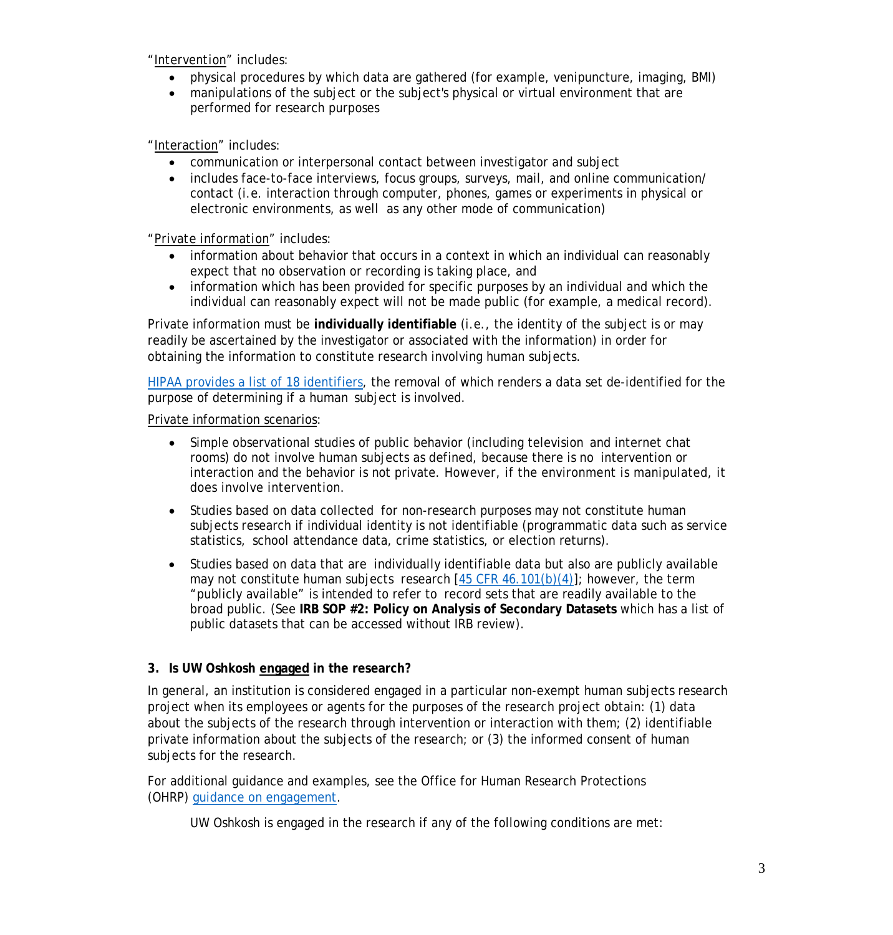*"Intervention"* includes:

- physical procedures by which data are gathered (for example, venipuncture, imaging, BMI)
- manipulations of the subject or the subject's physical or virtual environment that are performed for research purposes

"Interaction" includes:

- communication or interpersonal contact between investigator and subject
- includes face-to-face interviews, focus groups, surveys, mail, and online communication/ contact (i.e. interaction through computer, phones, games or experiments in physical or electronic environments, as well as any other mode of communication)

"*Private information"* includes:

- information about behavior that occurs in a context in which an individual can reasonably expect that no observation or recording is taking place, and
- information which has been provided for specific purposes by an individual and which the individual can reasonably expect will not be made public (for example, a medical record).

Private information must be **individually identifiable** (i.e., the identity of the subject is or may readily be ascertained by the investigator or associated with the information) in order for obtaining the information to constitute research involving human subjects.

HIPAA provides a list of 18 [identifiers,](https://www.hipaa.com/hipaa-protected-health-information-what-does-phi-include/) the removal of which renders a data set de-identified for the purpose of determining if a human subject is involved.

Private information scenarios:

- Simple observational studies of public behavior (including television and internet chat rooms) do not involve human subjects as defined, because there is no intervention or interaction and the behavior is not private. However, if the environment is manipulated, it does involve intervention.
- Studies based on data collected for non-research purposes may not constitute human subjects research if individual identity is not identifiable (programmatic data such as service statistics, school attendance data, crime statistics, or election returns).
- Studies based on data that are individually identifiable data but also are publicly available may not constitute human subjects research  $[45$  CFR  $46.101(b)(4)]$ ; however, the term "publicly available" is intended to refer to record sets that are readily available to the broad public. (See **IRB SOP #2: Policy on Analysis of Secondary Datasets** which has a list of public datasets that can be accessed without IRB review).

## **3. Is UW Oshkosh engaged in the research?**

In general, an institution is considered *engaged* in a particular non-exempt human subjects research project when its employees or agents for the purposes of the research project obtain: (1) data about the subjects of the research through intervention or interaction with them; (2) identifiable private information about the subjects of the research; or (3) the informed consent of human subjects for the research.

For additional guidance and examples, see the Office for Human Research Protections (OHRP) [guidance on engagement.](http://www.hhs.gov/ohrp/regulations-and-policy/guidance/guidance-on-engagement-of-institutions/index.html)

UW Oshkosh is engaged in the research if any of the following conditions are met: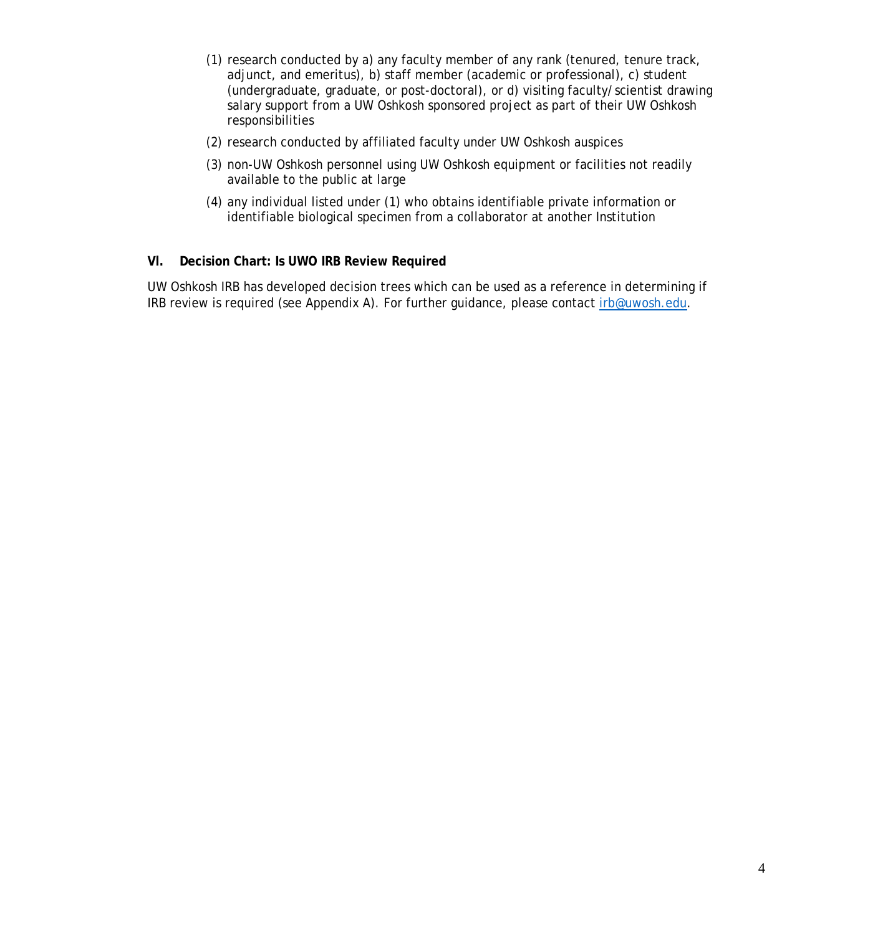- (1) research conducted by a) any faculty member of any rank (tenured, tenure track, adjunct, and emeritus), b) staff member (academic or professional), c) student (undergraduate, graduate, or post-doctoral), or d) visiting faculty/scientist drawing salary support from a UW Oshkosh sponsored project as part of their UW Oshkosh responsibilities
- (2) research conducted by affiliated faculty under UW Oshkosh auspices
- (3) non-UW Oshkosh personnel using UW Oshkosh equipment or facilities not readily available to the public at large
- (4) any individual listed under (1) who obtains identifiable private information or identifiable biological specimen from a collaborator at another Institution

#### **Vl. Decision Chart: Is UWO IRB Review Required**

UW Oshkosh IRB has developed decision trees which can be used as a reference in determining if IRB review is required (see Appendix A). For further guidance, please contact irb@uwosh.edu.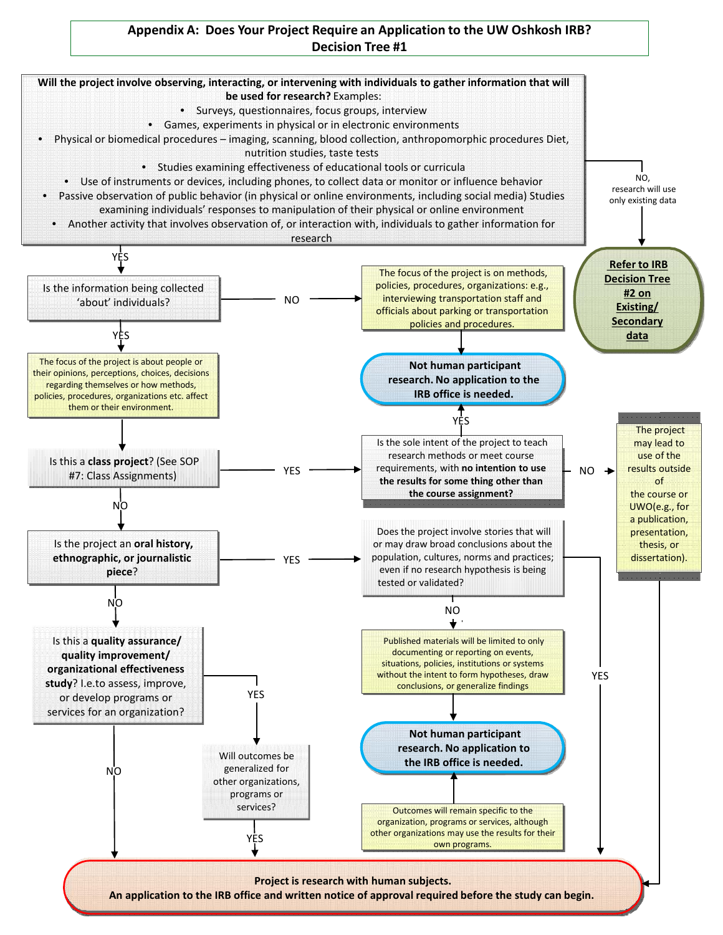## **Appendix A: Does Your Project Require an Application to the UW Oshkosh IRB? Decision Tree #1**